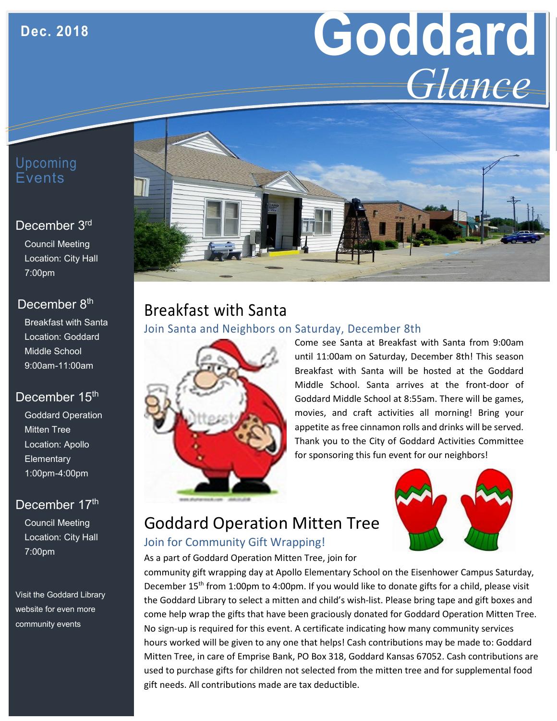# **Goddard** *Glance*

## Upcoming Events

#### December 3rd

Council Meeting Location: City Hall 7:00pm

## December 8<sup>th</sup>

Breakfast with Santa Location: Goddard Middle School 9:00am-11:00am

## December 15<sup>th</sup>

Goddard Operation Mitten Tree Location: Apollo **Elementary** 1:00pm-4:00pm

## December 17th

Council Meeting Location: City Hall 7:00pm

Visit the Goddard Library website for even more community events



## Breakfast with Santa Join Santa and Neighbors on Saturday, December 8th



Come see Santa at Breakfast with Santa from 9:00am until 11:00am on Saturday, December 8th! This season Breakfast with Santa will be hosted at the Goddard Middle School. Santa arrives at the front-door of Goddard Middle School at 8:55am. There will be games, movies, and craft activities all morning! Bring your appetite as free cinnamon rolls and drinks will be served. Thank you to the City of Goddard Activities Committee for sponsoring this fun event for our neighbors!



# Goddard Operation Mitten Tree

#### Join for Community Gift Wrapping!

As a part of Goddard Operation Mitten Tree, join for

community gift wrapping day at Apollo Elementary School on the Eisenhower Campus Saturday, December 15<sup>th</sup> from 1:00pm to 4:00pm. If you would like to donate gifts for a child, please visit the Goddard Library to select a mitten and child's wish-list. Please bring tape and gift boxes and come help wrap the gifts that have been graciously donated for Goddard Operation Mitten Tree. No sign-up is required for this event. A certificate indicating how many community services hours worked will be given to any one that helps! Cash contributions may be made to: Goddard Mitten Tree, in care of Emprise Bank, PO Box 318, Goddard Kansas 67052. Cash contributions are used to purchase gifts for children not selected from the mitten tree and for supplemental food gift needs. All contributions made are tax deductible.